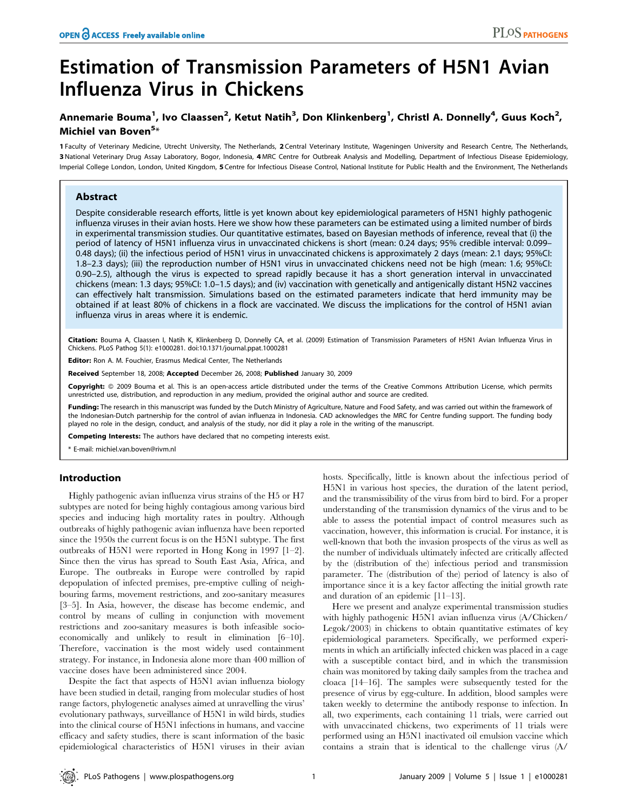# Estimation of Transmission Parameters of H5N1 Avian Influenza Virus in Chickens

# Annemarie Bouma<sup>1</sup>, Ivo Claassen<sup>2</sup>, Ketut Natih<sup>3</sup>, Don Klinkenberg<sup>1</sup>, Christl A. Donnelly<sup>4</sup>, Guus Koch<sup>2</sup>, Michiel van Boven<sup>5</sup>\*

1 Faculty of Veterinary Medicine, Utrecht University, The Netherlands, 2 Central Veterinary Institute, Wageningen University and Research Centre, The Netherlands, 3 National Veterinary Drug Assay Laboratory, Bogor, Indonesia, 4 MRC Centre for Outbreak Analysis and Modelling, Department of Infectious Disease Epidemiology, Imperial College London, London, United Kingdom, 5 Centre for Infectious Disease Control, National Institute for Public Health and the Environment, The Netherlands

# Abstract

Despite considerable research efforts, little is yet known about key epidemiological parameters of H5N1 highly pathogenic influenza viruses in their avian hosts. Here we show how these parameters can be estimated using a limited number of birds in experimental transmission studies. Our quantitative estimates, based on Bayesian methods of inference, reveal that (i) the period of latency of H5N1 influenza virus in unvaccinated chickens is short (mean: 0.24 days; 95% credible interval: 0.099– 0.48 days); (ii) the infectious period of H5N1 virus in unvaccinated chickens is approximately 2 days (mean: 2.1 days; 95%CI: 1.8–2.3 days); (iii) the reproduction number of H5N1 virus in unvaccinated chickens need not be high (mean: 1.6; 95%CI: 0.90–2.5), although the virus is expected to spread rapidly because it has a short generation interval in unvaccinated chickens (mean: 1.3 days; 95%CI: 1.0–1.5 days); and (iv) vaccination with genetically and antigenically distant H5N2 vaccines can effectively halt transmission. Simulations based on the estimated parameters indicate that herd immunity may be obtained if at least 80% of chickens in a flock are vaccinated. We discuss the implications for the control of H5N1 avian influenza virus in areas where it is endemic.

Citation: Bouma A, Claassen I, Natih K, Klinkenberg D, Donnelly CA, et al. (2009) Estimation of Transmission Parameters of H5N1 Avian Influenza Virus in Chickens. PLoS Pathog 5(1): e1000281. doi:10.1371/journal.ppat.1000281

Editor: Ron A. M. Fouchier, Erasmus Medical Center, The Netherlands

Received September 18, 2008; Accepted December 26, 2008; Published January 30, 2009

Copyright: @ 2009 Bouma et al. This is an open-access article distributed under the terms of the Creative Commons Attribution License, which permits unrestricted use, distribution, and reproduction in any medium, provided the original author and source are credited.

Funding: The research in this manuscript was funded by the Dutch Ministry of Agriculture, Nature and Food Safety, and was carried out within the framework of the Indonesian-Dutch partnership for the control of avian influenza in Indonesia. CAD acknowledges the MRC for Centre funding support. The funding body played no role in the design, conduct, and analysis of the study, nor did it play a role in the writing of the manuscript.

Competing Interests: The authors have declared that no competing interests exist.

\* E-mail: michiel.van.boven@rivm.nl

## Introduction

Highly pathogenic avian influenza virus strains of the H5 or H7 subtypes are noted for being highly contagious among various bird species and inducing high mortality rates in poultry. Although outbreaks of highly pathogenic avian influenza have been reported since the 1950s the current focus is on the H5N1 subtype. The first outbreaks of H5N1 were reported in Hong Kong in 1997 [1–2]. Since then the virus has spread to South East Asia, Africa, and Europe. The outbreaks in Europe were controlled by rapid depopulation of infected premises, pre-emptive culling of neighbouring farms, movement restrictions, and zoo-sanitary measures [3–5]. In Asia, however, the disease has become endemic, and control by means of culling in conjunction with movement restrictions and zoo-sanitary measures is both infeasible socioeconomically and unlikely to result in elimination [6–10]. Therefore, vaccination is the most widely used containment strategy. For instance, in Indonesia alone more than 400 million of vaccine doses have been administered since 2004.

Despite the fact that aspects of H5N1 avian influenza biology have been studied in detail, ranging from molecular studies of host range factors, phylogenetic analyses aimed at unravelling the virus' evolutionary pathways, surveillance of H5N1 in wild birds, studies into the clinical course of H5N1 infections in humans, and vaccine efficacy and safety studies, there is scant information of the basic epidemiological characteristics of H5N1 viruses in their avian hosts. Specifically, little is known about the infectious period of H5N1 in various host species, the duration of the latent period, and the transmissibility of the virus from bird to bird. For a proper understanding of the transmission dynamics of the virus and to be able to assess the potential impact of control measures such as vaccination, however, this information is crucial. For instance, it is well-known that both the invasion prospects of the virus as well as the number of individuals ultimately infected are critically affected by the (distribution of the) infectious period and transmission parameter. The (distribution of the) period of latency is also of importance since it is a key factor affecting the initial growth rate and duration of an epidemic [11–13].

Here we present and analyze experimental transmission studies with highly pathogenic H5N1 avian influenza virus (A/Chicken/ Legok/2003) in chickens to obtain quantitative estimates of key epidemiological parameters. Specifically, we performed experiments in which an artificially infected chicken was placed in a cage with a susceptible contact bird, and in which the transmission chain was monitored by taking daily samples from the trachea and cloaca [14–16]. The samples were subsequently tested for the presence of virus by egg-culture. In addition, blood samples were taken weekly to determine the antibody response to infection. In all, two experiments, each containing 11 trials, were carried out with unvaccinated chickens, two experiments of 11 trials were performed using an H5N1 inactivated oil emulsion vaccine which contains a strain that is identical to the challenge virus (A/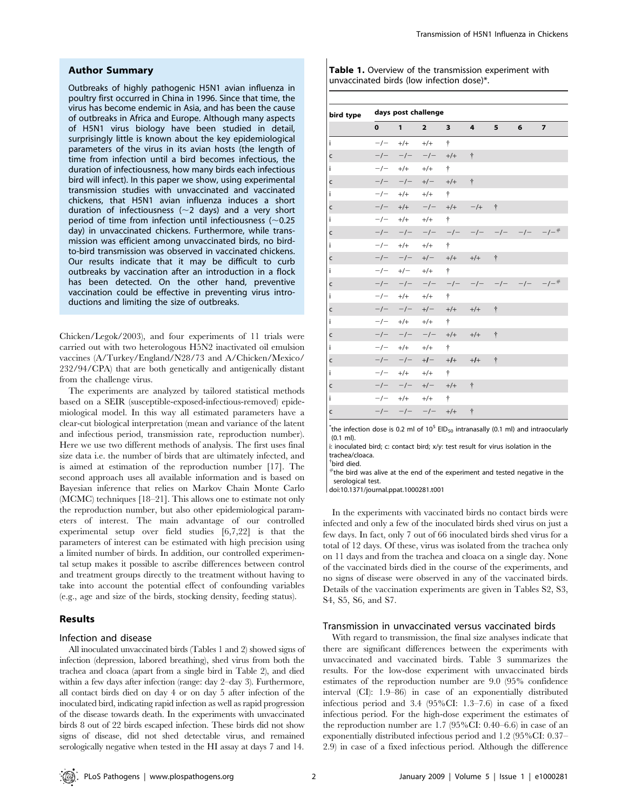#### Author Summary

Outbreaks of highly pathogenic H5N1 avian influenza in poultry first occurred in China in 1996. Since that time, the virus has become endemic in Asia, and has been the cause of outbreaks in Africa and Europe. Although many aspects of H5N1 virus biology have been studied in detail, surprisingly little is known about the key epidemiological parameters of the virus in its avian hosts (the length of time from infection until a bird becomes infectious, the duration of infectiousness, how many birds each infectious bird will infect). In this paper we show, using experimental transmission studies with unvaccinated and vaccinated chickens, that H5N1 avian influenza induces a short duration of infectiousness ( $\sim$ 2 days) and a very short period of time from infection until infectiousness ( $\sim$ 0.25 day) in unvaccinated chickens. Furthermore, while transmission was efficient among unvaccinated birds, no birdto-bird transmission was observed in vaccinated chickens. Our results indicate that it may be difficult to curb outbreaks by vaccination after an introduction in a flock has been detected. On the other hand, preventive vaccination could be effective in preventing virus introductions and limiting the size of outbreaks.

Chicken/Legok/2003), and four experiments of 11 trials were carried out with two heterologous H5N2 inactivated oil emulsion vaccines (A/Turkey/England/N28/73 and A/Chicken/Mexico/ 232/94/CPA) that are both genetically and antigenically distant from the challenge virus.

The experiments are analyzed by tailored statistical methods based on a SEIR (susceptible-exposed-infectious-removed) epidemiological model. In this way all estimated parameters have a clear-cut biological interpretation (mean and variance of the latent and infectious period, transmission rate, reproduction number). Here we use two different methods of analysis. The first uses final size data i.e. the number of birds that are ultimately infected, and is aimed at estimation of the reproduction number [17]. The second approach uses all available information and is based on Bayesian inference that relies on Markov Chain Monte Carlo (MCMC) techniques [18–21]. This allows one to estimate not only the reproduction number, but also other epidemiological parameters of interest. The main advantage of our controlled experimental setup over field studies [6,7,22] is that the parameters of interest can be estimated with high precision using a limited number of birds. In addition, our controlled experimental setup makes it possible to ascribe differences between control and treatment groups directly to the treatment without having to take into account the potential effect of confounding variables (e.g., age and size of the birds, stocking density, feeding status).

# Results

# Infection and disease

All inoculated unvaccinated birds (Tables 1 and 2) showed signs of infection (depression, labored breathing), shed virus from both the trachea and cloaca (apart from a single bird in Table 2), and died within a few days after infection (range: day 2–day 3). Furthermore, all contact birds died on day 4 or on day 5 after infection of the inoculated bird, indicating rapid infection as well as rapid progression of the disease towards death. In the experiments with unvaccinated birds 8 out of 22 birds escaped infection. These birds did not show signs of disease, did not shed detectable virus, and remained serologically negative when tested in the HI assay at days 7 and 14.

| <b>Table 1.</b> Overview of the transmission experiment with |
|--------------------------------------------------------------|
| unvaccinated birds (low infection dose)*.                    |

| bird type | days post challenge |                        |                     |             |             |           |                            |            |
|-----------|---------------------|------------------------|---------------------|-------------|-------------|-----------|----------------------------|------------|
|           | $\mathbf{0}$        | $1 \quad \blacksquare$ | $\overline{2}$      | $3^{\circ}$ | $4^{\circ}$ | $5 -$     | 6                          | 7          |
| i.        |                     | $-/- +/+$              | $+/-$               | Ť           |             |           |                            |            |
| c         | $-/-$               | $-/-$                  |                     | $-/- +/+$   | $\dagger$   |           |                            |            |
| i.        |                     |                        | $-/ +/+$ $+/+$      | $\dagger$   |             |           |                            |            |
| c         | $-/-$               |                        | $-/-$ +/- +/+       |             | $\dagger$   |           |                            |            |
| i         |                     |                        | $-/-$ +/+ +/+       | 十           |             |           |                            |            |
| c         | $-/-$               |                        | $+/+$ $-/ +/+$      |             | $-/-$       | $\dagger$ |                            |            |
| i.        |                     |                        | $-/-$ +/+ +/+       | $\dagger$   |             |           |                            |            |
| C         | $-/-$               |                        |                     |             |             |           | $-/ -/ -/ -/ -/ -/ -/ -/-$ |            |
| i.        |                     |                        | $-/ +/+$ $+/+$      | $\dagger$   |             |           |                            |            |
| c         |                     |                        | $-/ -/ +/ +/+$      |             | $+/-$       | $\dagger$ |                            |            |
| i.        |                     |                        | $-/-$ +/ $-$ +/ $+$ | $\dagger$   |             |           |                            |            |
| c         | $-/-$               |                        | $-/ -/ -/ -/ -/-$   |             |             |           |                            | $-/ -/-$ # |
| i         |                     |                        | $-/ +/+$ $+/+$      | $\dagger$   |             |           |                            |            |
| c         |                     |                        | $-/ -/ +/ +/+$      |             | $+/-$       | $\dagger$ |                            |            |
| i         |                     |                        | $-/-$ +/+ +/+       | $\dagger$   |             |           |                            |            |
| C         | $-/-$               |                        | $-/ -/ +/+$         |             | $+/+$       | ÷         |                            |            |
| i.        | $-/-$               |                        | $+/- +$ $+/-$       | $\dagger$   |             |           |                            |            |
| c         | $-/-$               | $-/- +/-$              |                     | $+/-$       | $+1+$       | $\dagger$ |                            |            |
| i.        |                     |                        | $-/ +/+$ $+/+$      | $\dagger$   |             |           |                            |            |
| c         |                     |                        | $-/ -/ +/ +/+$      |             | $\dagger$   |           |                            |            |
| i         |                     |                        | $-/ +/+$ $+/+$      | $\dagger$   |             |           |                            |            |
| C         |                     |                        | $-/ -/ -/ +/+$      |             | $\dagger$   |           |                            |            |

 $*$ the infection dose is 0.2 ml of 10<sup>5</sup> EID<sub>50</sub> intranasally (0.1 ml) and intraocularly (0.1 ml).

i: inoculated bird; c: contact bird; x/y: test result for virus isolation in the trachea/cloaca.

{ bird died.

 $#$ the bird was alive at the end of the experiment and tested negative in the serological test.

doi:10.1371/journal.ppat.1000281.t001

In the experiments with vaccinated birds no contact birds were infected and only a few of the inoculated birds shed virus on just a few days. In fact, only 7 out of 66 inoculated birds shed virus for a total of 12 days. Of these, virus was isolated from the trachea only on 11 days and from the trachea and cloaca on a single day. None of the vaccinated birds died in the course of the experiments, and no signs of disease were observed in any of the vaccinated birds. Details of the vaccination experiments are given in Tables S2, S3, S4, S5, S6, and S7.

#### Transmission in unvaccinated versus vaccinated birds

With regard to transmission, the final size analyses indicate that there are significant differences between the experiments with unvaccinated and vaccinated birds. Table 3 summarizes the results. For the low-dose experiment with unvaccinated birds estimates of the reproduction number are 9.0 (95% confidence interval (CI): 1.9–86) in case of an exponentially distributed infectious period and 3.4 (95%CI: 1.3–7.6) in case of a fixed infectious period. For the high-dose experiment the estimates of the reproduction number are 1.7 (95%CI: 0.40–6.6) in case of an exponentially distributed infectious period and 1.2 (95%CI: 0.37– 2.9) in case of a fixed infectious period. Although the difference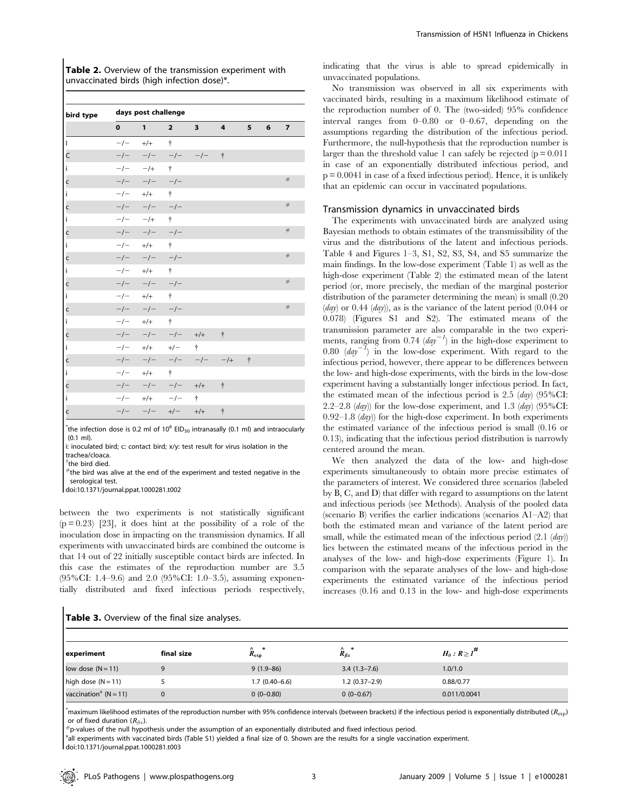|                                            | Table 2. Overview of the transmission experiment with |
|--------------------------------------------|-------------------------------------------------------|
| unvaccinated birds (high infection dose)*. |                                                       |

| bird type      |              | days post challenge |                |                         |                    |            |   |                |  |  |
|----------------|--------------|---------------------|----------------|-------------------------|--------------------|------------|---|----------------|--|--|
|                | $\mathbf{0}$ | $\mathbf{1}$        | $\overline{2}$ | $\overline{\mathbf{3}}$ | $\overline{4}$     | 5          | 6 | $\overline{z}$ |  |  |
| $\overline{1}$ | $-/-$        | $+/-$               | $\ddagger$     |                         |                    |            |   |                |  |  |
| $\mathsf{C}$   | $-/-$        | $-/-$               | $-/-$          | $-/-$                   | $\dot{\tau}$       |            |   |                |  |  |
| i              | $-/-$        | $-$ /+              | ÷              |                         |                    |            |   |                |  |  |
| C              | $-/-$        | $-/- - -/-$         |                |                         |                    |            |   | $\#$           |  |  |
| $\mathbf{i}$   | $-/-$        | $+/-$               | $\dagger$      |                         |                    |            |   |                |  |  |
| $\mathsf{c}$   | $-/-$        | $-/- - -/-$         |                |                         |                    |            |   | $\#$           |  |  |
| i.             | $-/-$        | $-/-$               | $\dagger$      |                         |                    |            |   |                |  |  |
| $\mathsf{c}$   | $-/-$        | $-/- \qquad -/-$    |                |                         |                    |            |   | #              |  |  |
| i.             |              | $-/- +/+$           | $\dagger$      |                         |                    |            |   |                |  |  |
| $\mathsf{c}$   | $-/-$        | $-/ -/-$            |                |                         |                    |            |   | #              |  |  |
| i.             | $-/-$        | $+/-$               | $\dagger$      |                         |                    |            |   |                |  |  |
| $\mathsf{c}$   | $-/-$        | $-/ -/-$            |                |                         |                    |            |   | #              |  |  |
| i              | $-/-$        | $+/-$               | $\dagger$      |                         |                    |            |   |                |  |  |
| $\mathsf{c}$   | $-/-$        | $-/- - -/-$         |                |                         |                    |            |   | #              |  |  |
| i              |              | $-/- +/+$           | $\dagger$      |                         |                    |            |   |                |  |  |
| $\mathsf{C}$   | $-/-$        | $-/-$               | $-/-$          | $+/+$                   | $\ddagger$         |            |   |                |  |  |
| i              | $-/-$        | $+/ +/-$            |                | $\dagger$               |                    |            |   |                |  |  |
| $\mathsf{c}$   | $-/-$        | $-/-$               | $-/-$          | $-/-$                   | $-/-$              | $\ddagger$ |   |                |  |  |
| İ              | $-/-$        | $+/-$               | $\dagger$      |                         |                    |            |   |                |  |  |
| $\mathsf{c}$   | $-/-$        |                     | $-/ -/-$       | $+/+$                   | $\dot{\mathsf{T}}$ |            |   |                |  |  |
| i              | $-/-$        | $+/ -/-$            |                | $\dagger$               |                    |            |   |                |  |  |
| $\overline{c}$ | $-/-$        |                     | $-/ +/-$       | $+/+$                   | $\dot{\dagger}$    |            |   |                |  |  |

 $*$ the infection dose is 0.2 ml of 10<sup>6</sup> EID<sub>50</sub> intranasally (0.1 ml) and intraocularly (0.1 ml).

i: inoculated bird; c: contact bird; x/y: test result for virus isolation in the trachea/cloaca.

<sup>†</sup>the bird died.

 $^{\#}$ the bird was alive at the end of the experiment and tested negative in the serological test.

doi:10.1371/journal.ppat.1000281.t002

between the two experiments is not statistically significant  $(p = 0.23)$  [23], it does hint at the possibility of a role of the inoculation dose in impacting on the transmission dynamics. If all experiments with unvaccinated birds are combined the outcome is that 14 out of 22 initially susceptible contact birds are infected. In this case the estimates of the reproduction number are 3.5 (95%CI: 1.4–9.6) and 2.0 (95%CI: 1.0–3.5), assuming exponentially distributed and fixed infectious periods respectively,

indicating that the virus is able to spread epidemically in unvaccinated populations.

No transmission was observed in all six experiments with vaccinated birds, resulting in a maximum likelihood estimate of the reproduction number of 0. The (two-sided) 95% confidence interval ranges from 0–0.80 or 0–0.67, depending on the assumptions regarding the distribution of the infectious period. Furthermore, the null-hypothesis that the reproduction number is larger than the threshold value 1 can safely be rejected  $(p = 0.011)$ in case of an exponentially distributed infectious period, and  $p = 0.0041$  in case of a fixed infectious period). Hence, it is unlikely that an epidemic can occur in vaccinated populations.

# Transmission dynamics in unvaccinated birds

The experiments with unvaccinated birds are analyzed using Bayesian methods to obtain estimates of the transmissibility of the virus and the distributions of the latent and infectious periods. Table 4 and Figures 1–3, S1, S2, S3, S4, and S5 summarize the main findings. In the low-dose experiment (Table 1) as well as the high-dose experiment (Table 2) the estimated mean of the latent period (or, more precisely, the median of the marginal posterior distribution of the parameter determining the mean) is small (0.20  $(day)$  or 0.44  $(day)$ , as is the variance of the latent period  $(0.044 \text{ or }$ 0.078) (Figures S1 and S2). The estimated means of the transmission parameter are also comparable in the two experiments, ranging from 0.74  $\left(\frac{day^{-1}}{x}\right)$  in the high-dose experiment to 0.80  $(day^{-1})$  in the low-dose experiment. With regard to the infectious period, however, there appear to be differences between the low- and high-dose experiments, with the birds in the low-dose experiment having a substantially longer infectious period. In fact, the estimated mean of the infectious period is  $2.5$  (*day*) (95%CI: 2.2–2.8  $(day)$  for the low-dose experiment, and 1.3  $(day)$  (95%CI:  $0.92-1.8$  (*day*)) for the high-dose experiment. In both experiments the estimated variance of the infectious period is small (0.16 or 0.13), indicating that the infectious period distribution is narrowly centered around the mean.

We then analyzed the data of the low- and high-dose experiments simultaneously to obtain more precise estimates of the parameters of interest. We considered three scenarios (labeled by B, C, and D) that differ with regard to assumptions on the latent and infectious periods (see Methods). Analysis of the pooled data (scenario B) verifies the earlier indications (scenarios A1–A2) that both the estimated mean and variance of the latent period are small, while the estimated mean of the infectious period  $(2.1 \text{ (day)})$ lies between the estimated means of the infectious period in the analyses of the low- and high-dose experiments (Figure 1). In comparison with the separate analyses of the low- and high-dose experiments the estimated variance of the infectious period increases (0.16 and 0.13 in the low- and high-dose experiments

| experiment                                     | final size | $\sim$<br>$R_{\rm exp}$ | ∧ *<br>$R_{fix}$ | $H_0: R \geq I^{\#}$ |
|------------------------------------------------|------------|-------------------------|------------------|----------------------|
| low dose $(N = 11)$                            |            | $9(1.9 - 86)$           | $3.4(1.3-7.6)$   | 1.0/1.0              |
| high dose $(N = 11)$                           |            | $1.7(0.40-6.6)$         | $1.2(0.37-2.9)$  | 0.88/0.77            |
| vaccination <sup><math>x</math></sup> (N = 11) |            | $0(0-0.80)$             | $0(0-0.67)$      | 0.011/0.0041         |

\*maximum likelihood estimates of the reproduction number with 95% confidence intervals (between brackets) if the infectious period is exponentially distributed ( $R_{\rm exp}$ ) or of fixed duration ( $R_{fix}$ ).<br>#p-values of the null hypothesis under the assumption of an exponentially distributed and fixed infectious period.

x all experiments with vaccinated birds (Table S1) yielded a final size of 0. Shown are the results for a single vaccination experiment.

doi:10.1371/journal.ppat.1000281.t003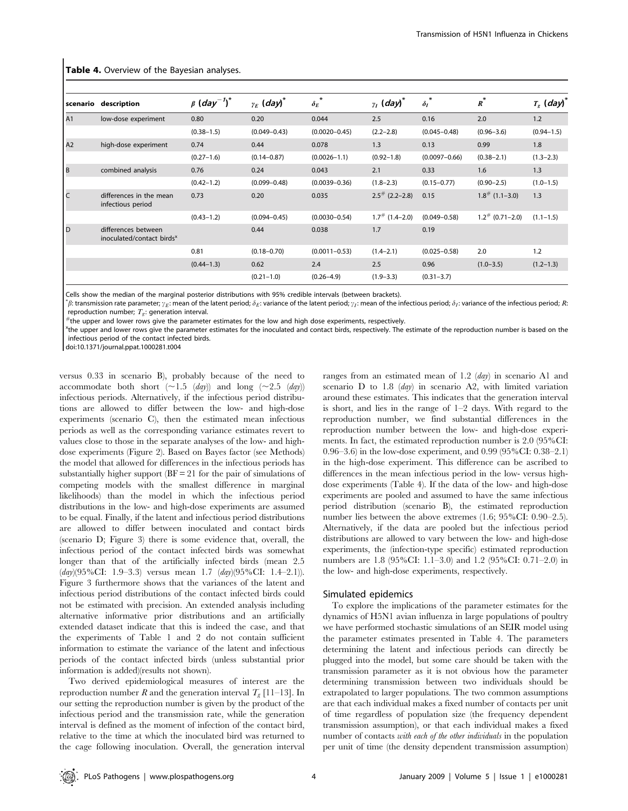| scenario | description                                                  | $\beta$ (day <sup>-1</sup> ) <sup>*</sup> | $\gamma_F$ (day) <sup>*</sup> | $\ast$<br>$\delta_F$ | $y_I$ (day) <sup>*</sup>     | $\delta_I$        | $R^*$                 | $T_{g}$ (day) <sup>*</sup> |
|----------|--------------------------------------------------------------|-------------------------------------------|-------------------------------|----------------------|------------------------------|-------------------|-----------------------|----------------------------|
| A1       | low-dose experiment                                          | 0.80                                      | 0.20                          | 0.044                | 2.5                          | 0.16              | 2.0                   | 1.2                        |
|          |                                                              | $(0.38 - 1.5)$                            | $(0.049 - 0.43)$              | $(0.0020 - 0.45)$    | $(2.2 - 2.8)$                | $(0.045 - 0.48)$  | $(0.96 - 3.6)$        | $(0.94 - 1.5)$             |
| A2       | high-dose experiment                                         | 0.74                                      | 0.44                          | 0.078                | 1.3                          | 0.13              | 0.99                  | 1.8                        |
|          |                                                              | $(0.27 - 1.6)$                            | $(0.14 - 0.87)$               | $(0.0026 - 1.1)$     | $(0.92 - 1.8)$               | $(0.0097 - 0.66)$ | $(0.38 - 2.1)$        | $(1.3 - 2.3)$              |
| B        | combined analysis                                            | 0.76                                      | 0.24                          | 0.043                | 2.1                          | 0.33              | 1.6                   | 1.3                        |
|          |                                                              | $(0.42 - 1.2)$                            | $(0.099 - 0.48)$              | $(0.0039 - 0.36)$    | $(1.8 - 2.3)$                | $(0.15 - 0.77)$   | $(0.90 - 2.5)$        | $(1.0 - 1.5)$              |
| C        | differences in the mean<br>infectious period                 | 0.73                                      | 0.20                          | 0.035                | $2.5^{\#}$ (2.2-2.8)         | 0.15              | $1.8^{\#}$ (1.1-3.0)  | 1.3                        |
|          |                                                              | $(0.43 - 1.2)$                            | $(0.094 - 0.45)$              | $(0.0030 - 0.54)$    | $1.7$ <sup>#</sup> (1.4–2.0) | $(0.049 - 0.58)$  | $1.2^{\#}$ (0.71-2.0) | $(1.1 - 1.5)$              |
| l D      | differences between<br>inoculated/contact birds <sup>x</sup> |                                           | 0.44                          | 0.038                | 1.7                          | 0.19              |                       |                            |
|          |                                                              | 0.81                                      | $(0.18 - 0.70)$               | $(0.0011 - 0.53)$    | $(1.4 - 2.1)$                | $(0.025 - 0.58)$  | 2.0                   | 1.2                        |
|          |                                                              | $(0.44 - 1.3)$                            | 0.62                          | 2.4                  | 2.5                          | 0.96              | $(1.0 - 3.5)$         | $(1.2 - 1.3)$              |
|          |                                                              |                                           | $(0.21 - 1.0)$                | $(0.26 - 4.9)$       | $(1.9 - 3.3)$                | $(0.31 - 3.7)$    |                       |                            |

Table 4. Overview of the Bayesian analyses.

Cells show the median of the marginal posterior distributions with 95% credible intervals (between brackets).

 $^*{\beta}$ : transmission rate parameter;  $\gamma_E$ : mean of the latent period;  $\delta_E$ : variance of the latent period;  $\gamma_I$ : mean of the infectious period;  $\delta_I$ : variance of the infectious period; R: reproduction number;  $T_g$ : generation interval.<br>#the upper and lower rows give the parameter estimates for the low and high dose experiments, respectively.

<sup>x</sup>the upper and lower rows give the parameter estimates for the inoculated and contact birds, respectively. The estimate of the reproduction number is based on the infectious period of the contact infected birds.

doi:10.1371/journal.ppat.1000281.t004

versus 0.33 in scenario B), probably because of the need to accommodate both short  $(\sim 1.5 \ (day))$  and long  $(\sim 2.5 \ (day))$ infectious periods. Alternatively, if the infectious period distributions are allowed to differ between the low- and high-dose experiments (scenario C), then the estimated mean infectious periods as well as the corresponding variance estimates revert to values close to those in the separate analyses of the low- and highdose experiments (Figure 2). Based on Bayes factor (see Methods) the model that allowed for differences in the infectious periods has substantially higher support  $(BF = 21$  for the pair of simulations of competing models with the smallest difference in marginal likelihoods) than the model in which the infectious period distributions in the low- and high-dose experiments are assumed to be equal. Finally, if the latent and infectious period distributions are allowed to differ between inoculated and contact birds (scenario D; Figure 3) there is some evidence that, overall, the infectious period of the contact infected birds was somewhat longer than that of the artificially infected birds (mean 2.5  $(day)(95\% CI: 1.9-3.3)$  versus mean 1.7  $(day)(95\% CI: 1.4-2.1)$ . Figure 3 furthermore shows that the variances of the latent and infectious period distributions of the contact infected birds could not be estimated with precision. An extended analysis including alternative informative prior distributions and an artificially extended dataset indicate that this is indeed the case, and that the experiments of Table 1 and 2 do not contain sufficient information to estimate the variance of the latent and infectious periods of the contact infected birds (unless substantial prior information is added)(results not shown).

Two derived epidemiological measures of interest are the reproduction number R and the generation interval  $T_g$  [11–13]. In our setting the reproduction number is given by the product of the infectious period and the transmission rate, while the generation interval is defined as the moment of infection of the contact bird, relative to the time at which the inoculated bird was returned to the cage following inoculation. Overall, the generation interval ranges from an estimated mean of 1.2 (day) in scenario A1 and scenario  $D$  to 1.8 (*day*) in scenario A2, with limited variation around these estimates. This indicates that the generation interval is short, and lies in the range of 1–2 days. With regard to the reproduction number, we find substantial differences in the reproduction number between the low- and high-dose experiments. In fact, the estimated reproduction number is 2.0 (95%CI: 0.96–3.6) in the low-dose experiment, and 0.99 (95%CI: 0.38–2.1) in the high-dose experiment. This difference can be ascribed to differences in the mean infectious period in the low- versus highdose experiments (Table 4). If the data of the low- and high-dose experiments are pooled and assumed to have the same infectious period distribution (scenario B), the estimated reproduction number lies between the above extremes (1.6; 95%CI: 0.90–2.5). Alternatively, if the data are pooled but the infectious period distributions are allowed to vary between the low- and high-dose experiments, the (infection-type specific) estimated reproduction numbers are 1.8 (95%CI: 1.1–3.0) and 1.2 (95%CI: 0.71–2.0) in the low- and high-dose experiments, respectively.

#### Simulated epidemics

To explore the implications of the parameter estimates for the dynamics of H5N1 avian influenza in large populations of poultry we have performed stochastic simulations of an SEIR model using the parameter estimates presented in Table 4. The parameters determining the latent and infectious periods can directly be plugged into the model, but some care should be taken with the transmission parameter as it is not obvious how the parameter determining transmission between two individuals should be extrapolated to larger populations. The two common assumptions are that each individual makes a fixed number of contacts per unit of time regardless of population size (the frequency dependent transmission assumption), or that each individual makes a fixed number of contacts with each of the other individuals in the population per unit of time (the density dependent transmission assumption)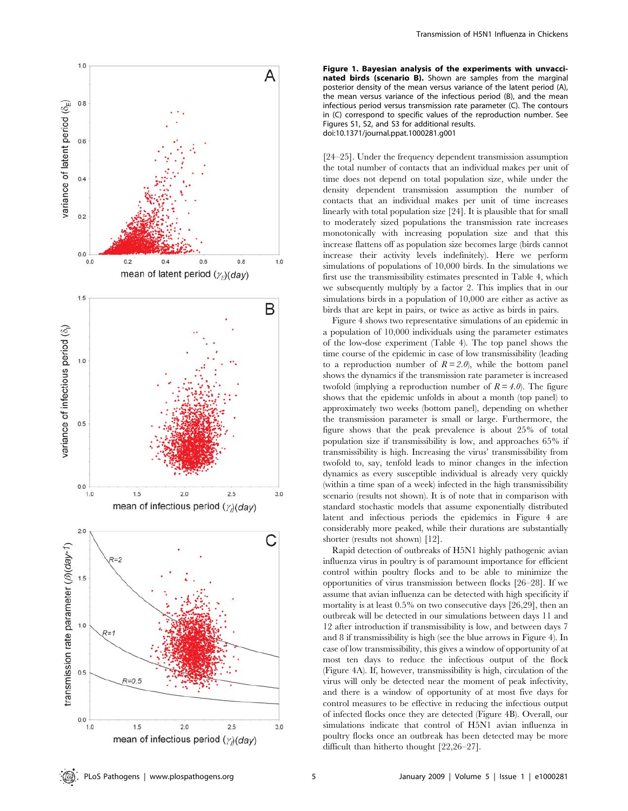

Figure 1. Bayesian analysis of the experiments with unvaccinated birds (scenario B). Shown are samples from the marginal posterior density of the mean versus variance of the latent period (A), the mean versus variance of the infectious period (B), and the mean infectious period versus transmission rate parameter (C). The contours in (C) correspond to specific values of the reproduction number. See Figures S1, S2, and S3 for additional results. doi:10.1371/journal.ppat.1000281.g001

[24–25]. Under the frequency dependent transmission assumption the total number of contacts that an individual makes per unit of time does not depend on total population size, while under the density dependent transmission assumption the number of contacts that an individual makes per unit of time increases linearly with total population size [24]. It is plausible that for small to moderately sized populations the transmission rate increases monotonically with increasing population size and that this increase flattens off as population size becomes large (birds cannot increase their activity levels indefinitely). Here we perform simulations of populations of 10,000 birds. In the simulations we first use the transmissibility estimates presented in Table 4, which we subsequently multiply by a factor 2. This implies that in our simulations birds in a population of 10,000 are either as active as birds that are kept in pairs, or twice as active as birds in pairs.

Figure 4 shows two representative simulations of an epidemic in a population of 10,000 individuals using the parameter estimates of the low-dose experiment (Table 4). The top panel shows the time course of the epidemic in case of low transmissibility (leading to a reproduction number of  $R = 2.0$ , while the bottom panel shows the dynamics if the transmission rate parameter is increased twofold (implying a reproduction number of  $R = 4.0$ ). The figure shows that the epidemic unfolds in about a month (top panel) to approximately two weeks (bottom panel), depending on whether the transmission parameter is small or large. Furthermore, the figure shows that the peak prevalence is about 25% of total population size if transmissibility is low, and approaches 65% if transmissibility is high. Increasing the virus' transmissibility from twofold to, say, tenfold leads to minor changes in the infection dynamics as every susceptible individual is already very quickly (within a time span of a week) infected in the high transmissibility scenario (results not shown). It is of note that in comparison with standard stochastic models that assume exponentially distributed latent and infectious periods the epidemics in Figure 4 are considerably more peaked, while their durations are substantially shorter (results not shown) [12].

Rapid detection of outbreaks of H5N1 highly pathogenic avian influenza virus in poultry is of paramount importance for efficient control within poultry flocks and to be able to minimize the opportunities of virus transmission between flocks [26–28]. If we assume that avian influenza can be detected with high specificity if mortality is at least 0.5% on two consecutive days [26,29], then an outbreak will be detected in our simulations between days 11 and 12 after introduction if transmissibility is low, and between days 7 and 8 if transmissibility is high (see the blue arrows in Figure 4). In case of low transmissibility, this gives a window of opportunity of at most ten days to reduce the infectious output of the flock (Figure 4A). If, however, transmissibility is high, circulation of the virus will only be detected near the moment of peak infectivity, and there is a window of opportunity of at most five days for control measures to be effective in reducing the infectious output of infected flocks once they are detected (Figure 4B). Overall, our simulations indicate that control of H5N1 avian influenza in poultry flocks once an outbreak has been detected may be more difficult than hitherto thought [22,26–27].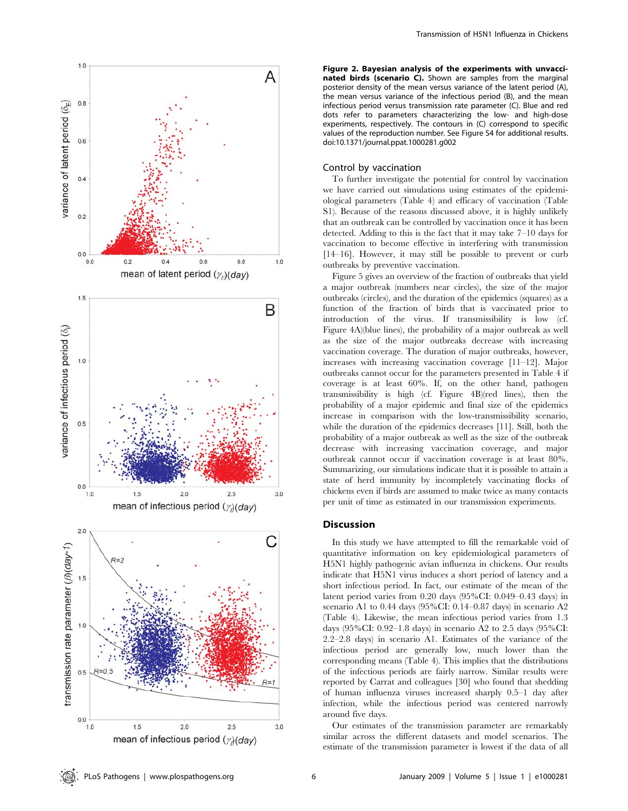

Figure 2. Bayesian analysis of the experiments with unvaccinated birds (scenario C). Shown are samples from the marginal posterior density of the mean versus variance of the latent period (A), the mean versus variance of the infectious period (B), and the mean infectious period versus transmission rate parameter (C). Blue and red dots refer to parameters characterizing the low- and high-dose experiments, respectively. The contours in (C) correspond to specific values of the reproduction number. See Figure S4 for additional results. doi:10.1371/journal.ppat.1000281.g002

# Control by vaccination

To further investigate the potential for control by vaccination we have carried out simulations using estimates of the epidemiological parameters (Table 4) and efficacy of vaccination (Table S1). Because of the reasons discussed above, it is highly unlikely that an outbreak can be controlled by vaccination once it has been detected. Adding to this is the fact that it may take 7–10 days for vaccination to become effective in interfering with transmission [14–16]. However, it may still be possible to prevent or curb outbreaks by preventive vaccination.

Figure 5 gives an overview of the fraction of outbreaks that yield a major outbreak (numbers near circles), the size of the major outbreaks (circles), and the duration of the epidemics (squares) as a function of the fraction of birds that is vaccinated prior to introduction of the virus. If transmissibility is low (cf. Figure 4A)(blue lines), the probability of a major outbreak as well as the size of the major outbreaks decrease with increasing vaccination coverage. The duration of major outbreaks, however, increases with increasing vaccination coverage [11–12]. Major outbreaks cannot occur for the parameters presented in Table 4 if coverage is at least 60%. If, on the other hand, pathogen transmissibility is high (cf. Figure 4B)(red lines), then the probability of a major epidemic and final size of the epidemics increase in comparison with the low-transmissibility scenario, while the duration of the epidemics decreases [11]. Still, both the probability of a major outbreak as well as the size of the outbreak decrease with increasing vaccination coverage, and major outbreak cannot occur if vaccination coverage is at least 80%. Summarizing, our simulations indicate that it is possible to attain a state of herd immunity by incompletely vaccinating flocks of chickens even if birds are assumed to make twice as many contacts per unit of time as estimated in our transmission experiments.

# Discussion

In this study we have attempted to fill the remarkable void of quantitative information on key epidemiological parameters of H5N1 highly pathogenic avian influenza in chickens. Our results indicate that H5N1 virus induces a short period of latency and a short infectious period. In fact, our estimate of the mean of the latent period varies from 0.20 days (95%CI: 0.049–0.43 days) in scenario A1 to 0.44 days (95%CI: 0.14–0.87 days) in scenario A2 (Table 4). Likewise, the mean infectious period varies from 1.3 days (95%CI: 0.92–1.8 days) in scenario A2 to 2.5 days (95%CI: 2.2–2.8 days) in scenario A1. Estimates of the variance of the infectious period are generally low, much lower than the corresponding means (Table 4). This implies that the distributions of the infectious periods are fairly narrow. Similar results were reported by Carrat and colleagues [30] who found that shedding of human influenza viruses increased sharply 0.5–1 day after infection, while the infectious period was centered narrowly around five days.

Our estimates of the transmission parameter are remarkably similar across the different datasets and model scenarios. The estimate of the transmission parameter is lowest if the data of all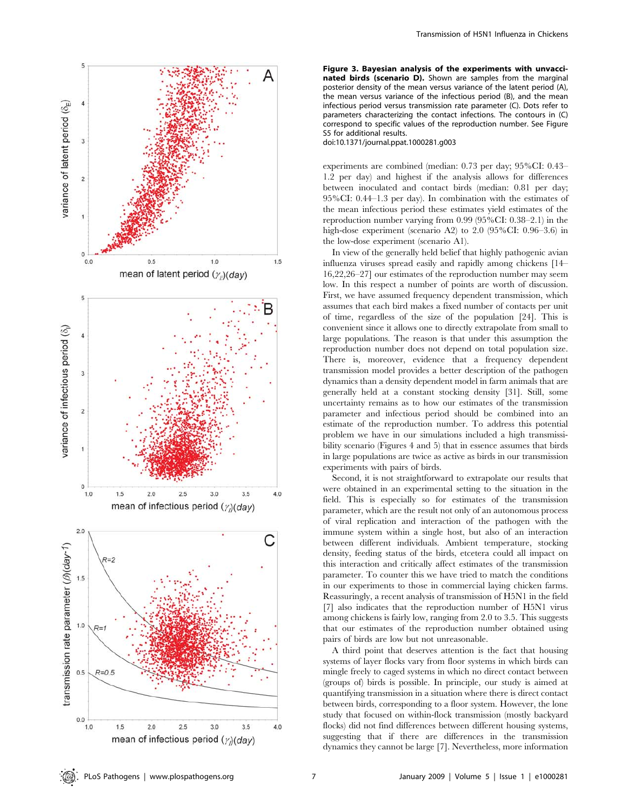

Figure 3. Bayesian analysis of the experiments with unvaccinated birds (scenario D). Shown are samples from the marginal posterior density of the mean versus variance of the latent period (A), the mean versus variance of the infectious period (B), and the mean infectious period versus transmission rate parameter (C). Dots refer to parameters characterizing the contact infections. The contours in (C) correspond to specific values of the reproduction number. See Figure S5 for additional results.

doi:10.1371/journal.ppat.1000281.g003

experiments are combined (median: 0.73 per day; 95%CI: 0.43– 1.2 per day) and highest if the analysis allows for differences between inoculated and contact birds (median: 0.81 per day; 95%CI: 0.44–1.3 per day). In combination with the estimates of the mean infectious period these estimates yield estimates of the reproduction number varying from 0.99 (95%CI: 0.38–2.1) in the high-dose experiment (scenario A2) to 2.0 (95%CI: 0.96–3.6) in the low-dose experiment (scenario A1).

In view of the generally held belief that highly pathogenic avian influenza viruses spread easily and rapidly among chickens [14– 16,22,26–27] our estimates of the reproduction number may seem low. In this respect a number of points are worth of discussion. First, we have assumed frequency dependent transmission, which assumes that each bird makes a fixed number of contacts per unit of time, regardless of the size of the population [24]. This is convenient since it allows one to directly extrapolate from small to large populations. The reason is that under this assumption the reproduction number does not depend on total population size. There is, moreover, evidence that a frequency dependent transmission model provides a better description of the pathogen dynamics than a density dependent model in farm animals that are generally held at a constant stocking density [31]. Still, some uncertainty remains as to how our estimates of the transmission parameter and infectious period should be combined into an estimate of the reproduction number. To address this potential problem we have in our simulations included a high transmissibility scenario (Figures 4 and 5) that in essence assumes that birds in large populations are twice as active as birds in our transmission experiments with pairs of birds.

Second, it is not straightforward to extrapolate our results that were obtained in an experimental setting to the situation in the field. This is especially so for estimates of the transmission parameter, which are the result not only of an autonomous process of viral replication and interaction of the pathogen with the immune system within a single host, but also of an interaction between different individuals. Ambient temperature, stocking density, feeding status of the birds, etcetera could all impact on this interaction and critically affect estimates of the transmission parameter. To counter this we have tried to match the conditions in our experiments to those in commercial laying chicken farms. Reassuringly, a recent analysis of transmission of H5N1 in the field [7] also indicates that the reproduction number of H5N1 virus among chickens is fairly low, ranging from 2.0 to 3.5. This suggests that our estimates of the reproduction number obtained using pairs of birds are low but not unreasonable.

A third point that deserves attention is the fact that housing systems of layer flocks vary from floor systems in which birds can mingle freely to caged systems in which no direct contact between (groups of) birds is possible. In principle, our study is aimed at quantifying transmission in a situation where there is direct contact between birds, corresponding to a floor system. However, the lone study that focused on within-flock transmission (mostly backyard flocks) did not find differences between different housing systems, suggesting that if there are differences in the transmission dynamics they cannot be large [7]. Nevertheless, more information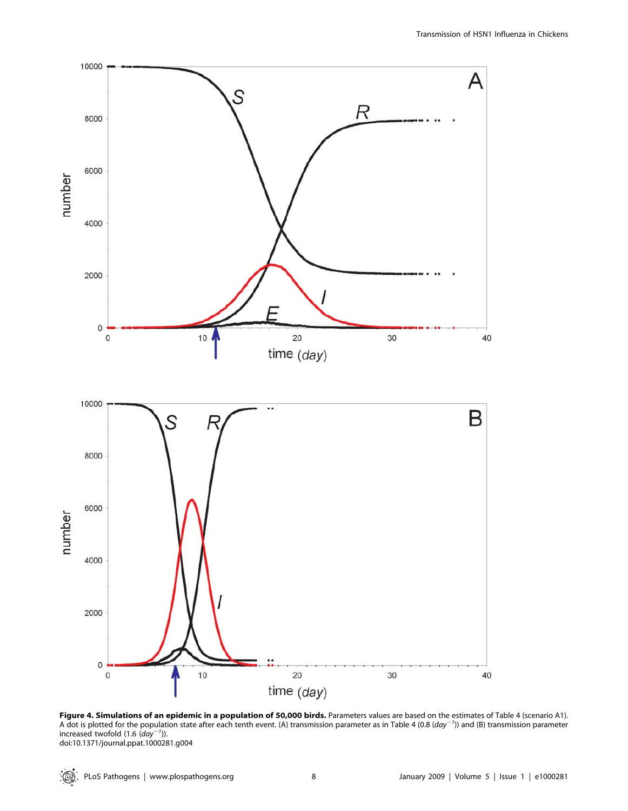

Figure 4. Simulations of an epidemic in a population of 50,000 birds. Parameters values are based on the estimates of Table 4 (scenario A1). A dot is plotted for the population state after each tenth event. (A) transmission parameter as in Table 4 (0.8  $\left($ day $^{-1}$ )) and (B) transmission parameter increased twofold  $(1.6 (day^{-1}))$ . doi:10.1371/journal.ppat.1000281.g004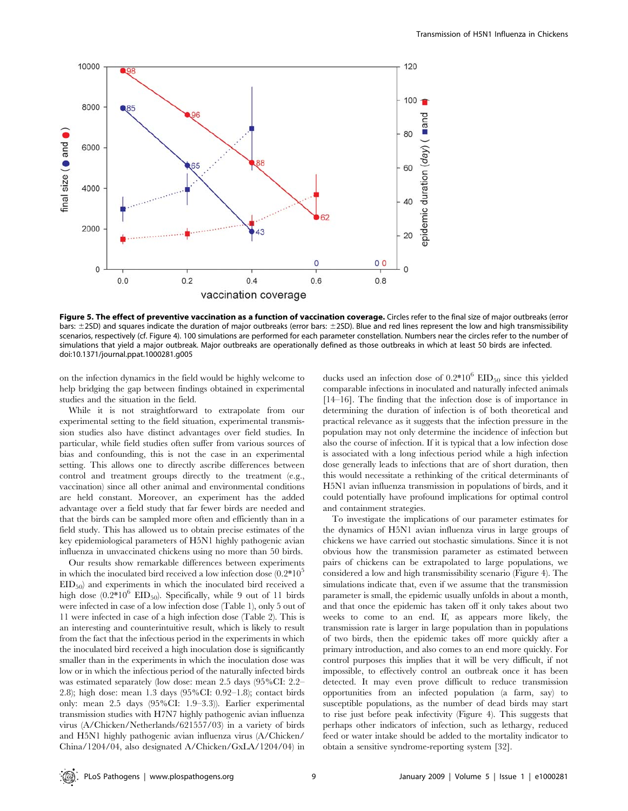

Figure 5. The effect of preventive vaccination as a function of vaccination coverage. Circles refer to the final size of major outbreaks (error bars:  $\pm$ 2SD) and squares indicate the duration of major outbreaks (error bars:  $\pm$ 2SD). Blue and red lines represent the low and high transmissibility scenarios, respectively (cf. Figure 4). 100 simulations are performed for each parameter constellation. Numbers near the circles refer to the number of simulations that yield a major outbreak. Major outbreaks are operationally defined as those outbreaks in which at least 50 birds are infected. doi:10.1371/journal.ppat.1000281.g005

on the infection dynamics in the field would be highly welcome to help bridging the gap between findings obtained in experimental studies and the situation in the field.

While it is not straightforward to extrapolate from our experimental setting to the field situation, experimental transmission studies also have distinct advantages over field studies. In particular, while field studies often suffer from various sources of bias and confounding, this is not the case in an experimental setting. This allows one to directly ascribe differences between control and treatment groups directly to the treatment (e.g., vaccination) since all other animal and environmental conditions are held constant. Moreover, an experiment has the added advantage over a field study that far fewer birds are needed and that the birds can be sampled more often and efficiently than in a field study. This has allowed us to obtain precise estimates of the key epidemiological parameters of H5N1 highly pathogenic avian influenza in unvaccinated chickens using no more than 50 birds.

Our results show remarkable differences between experiments in which the inoculated bird received a low infection dose  $(0.2*10<sup>5</sup>)$  $EID_{50}$  and experiments in which the inoculated bird received a high dose  $(0.2*10^6$  EID<sub>50</sub>). Specifically, while 9 out of 11 birds were infected in case of a low infection dose (Table 1), only 5 out of 11 were infected in case of a high infection dose (Table 2). This is an interesting and counterintuitive result, which is likely to result from the fact that the infectious period in the experiments in which the inoculated bird received a high inoculation dose is significantly smaller than in the experiments in which the inoculation dose was low or in which the infectious period of the naturally infected birds was estimated separately (low dose: mean 2.5 days (95%CI: 2.2– 2.8); high dose: mean 1.3 days (95%CI: 0.92–1.8); contact birds only: mean 2.5 days (95%CI: 1.9–3.3)). Earlier experimental transmission studies with H7N7 highly pathogenic avian influenza virus (A/Chicken/Netherlands/621557/03) in a variety of birds and H5N1 highly pathogenic avian influenza virus (A/Chicken/ China/1204/04, also designated A/Chicken/GxLA/1204/04) in

ducks used an infection dose of  $0.2*10^6$  EID<sub>50</sub> since this yielded comparable infections in inoculated and naturally infected animals [14–16]. The finding that the infection dose is of importance in determining the duration of infection is of both theoretical and practical relevance as it suggests that the infection pressure in the population may not only determine the incidence of infection but also the course of infection. If it is typical that a low infection dose is associated with a long infectious period while a high infection dose generally leads to infections that are of short duration, then this would necessitate a rethinking of the critical determinants of H5N1 avian influenza transmission in populations of birds, and it could potentially have profound implications for optimal control and containment strategies.

To investigate the implications of our parameter estimates for the dynamics of H5N1 avian influenza virus in large groups of chickens we have carried out stochastic simulations. Since it is not obvious how the transmission parameter as estimated between pairs of chickens can be extrapolated to large populations, we considered a low and high transmissibility scenario (Figure 4). The simulations indicate that, even if we assume that the transmission parameter is small, the epidemic usually unfolds in about a month, and that once the epidemic has taken off it only takes about two weeks to come to an end. If, as appears more likely, the transmission rate is larger in large population than in populations of two birds, then the epidemic takes off more quickly after a primary introduction, and also comes to an end more quickly. For control purposes this implies that it will be very difficult, if not impossible, to effectively control an outbreak once it has been detected. It may even prove difficult to reduce transmission opportunities from an infected population (a farm, say) to susceptible populations, as the number of dead birds may start to rise just before peak infectivity (Figure 4). This suggests that perhaps other indicators of infection, such as lethargy, reduced feed or water intake should be added to the mortality indicator to obtain a sensitive syndrome-reporting system [32].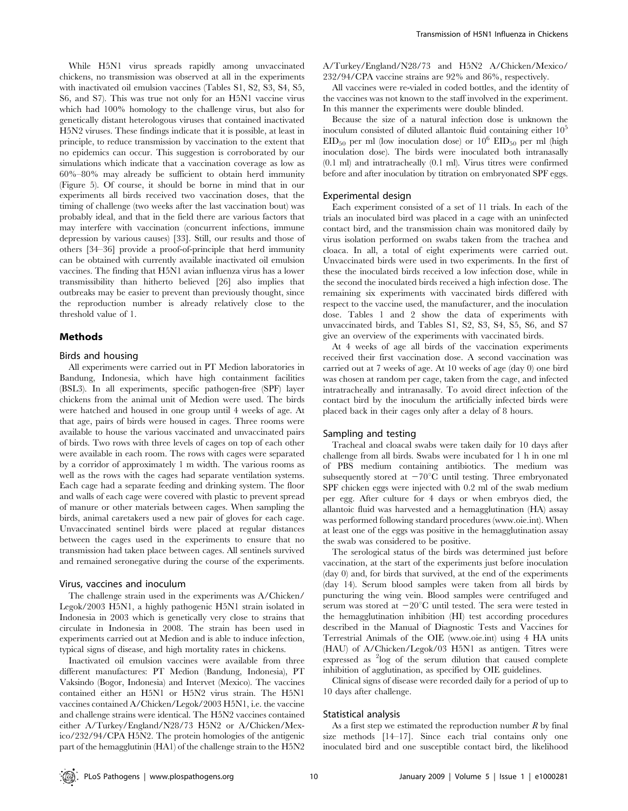While H5N1 virus spreads rapidly among unvaccinated chickens, no transmission was observed at all in the experiments with inactivated oil emulsion vaccines (Tables S1, S2, S3, S4, S5, S6, and S7). This was true not only for an H5N1 vaccine virus which had 100% homology to the challenge virus, but also for genetically distant heterologous viruses that contained inactivated H5N2 viruses. These findings indicate that it is possible, at least in principle, to reduce transmission by vaccination to the extent that no epidemics can occur. This suggestion is corroborated by our simulations which indicate that a vaccination coverage as low as 60%–80% may already be sufficient to obtain herd immunity (Figure 5). Of course, it should be borne in mind that in our experiments all birds received two vaccination doses, that the timing of challenge (two weeks after the last vaccination bout) was probably ideal, and that in the field there are various factors that may interfere with vaccination (concurrent infections, immune depression by various causes) [33]. Still, our results and those of others [34–36] provide a proof-of-principle that herd immunity can be obtained with currently available inactivated oil emulsion vaccines. The finding that H5N1 avian influenza virus has a lower transmissibility than hitherto believed [26] also implies that outbreaks may be easier to prevent than previously thought, since the reproduction number is already relatively close to the threshold value of 1.

## Methods

#### Birds and housing

All experiments were carried out in PT Medion laboratories in Bandung, Indonesia, which have high containment facilities (BSL3). In all experiments, specific pathogen-free (SPF) layer chickens from the animal unit of Medion were used. The birds were hatched and housed in one group until 4 weeks of age. At that age, pairs of birds were housed in cages. Three rooms were available to house the various vaccinated and unvaccinated pairs of birds. Two rows with three levels of cages on top of each other were available in each room. The rows with cages were separated by a corridor of approximately 1 m width. The various rooms as well as the rows with the cages had separate ventilation systems. Each cage had a separate feeding and drinking system. The floor and walls of each cage were covered with plastic to prevent spread of manure or other materials between cages. When sampling the birds, animal caretakers used a new pair of gloves for each cage. Unvaccinated sentinel birds were placed at regular distances between the cages used in the experiments to ensure that no transmission had taken place between cages. All sentinels survived and remained seronegative during the course of the experiments.

#### Virus, vaccines and inoculum

The challenge strain used in the experiments was A/Chicken/ Legok/2003 H5N1, a highly pathogenic H5N1 strain isolated in Indonesia in 2003 which is genetically very close to strains that circulate in Indonesia in 2008. The strain has been used in experiments carried out at Medion and is able to induce infection, typical signs of disease, and high mortality rates in chickens.

Inactivated oil emulsion vaccines were available from three different manufactures: PT Medion (Bandung, Indonesia), PT Vaksindo (Bogor, Indonesia) and Intervet (Mexico). The vaccines contained either an H5N1 or H5N2 virus strain. The H5N1 vaccines contained A/Chicken/Legok/2003 H5N1, i.e. the vaccine and challenge strains were identical. The H5N2 vaccines contained either A/Turkey/England/N28/73 H5N2 or A/Chicken/Mexico/232/94/CPA H5N2. The protein homologies of the antigenic part of the hemagglutinin (HA1) of the challenge strain to the H5N2

A/Turkey/England/N28/73 and H5N2 A/Chicken/Mexico/ 232/94/CPA vaccine strains are 92% and 86%, respectively.

All vaccines were re-vialed in coded bottles, and the identity of the vaccines was not known to the staff involved in the experiment. In this manner the experiments were double blinded.

Because the size of a natural infection dose is unknown the inoculum consisted of diluted allantoic fluid containing either  $10<sup>5</sup>$  $EID_{50}$  per ml (low inoculation dose) or  $10^6$   $EID_{50}$  per ml (high inoculation dose). The birds were inoculated both intranasally (0.1 ml) and intratracheally (0.1 ml). Virus titres were confirmed before and after inoculation by titration on embryonated SPF eggs.

#### Experimental design

Each experiment consisted of a set of 11 trials. In each of the trials an inoculated bird was placed in a cage with an uninfected contact bird, and the transmission chain was monitored daily by virus isolation performed on swabs taken from the trachea and cloaca. In all, a total of eight experiments were carried out. Unvaccinated birds were used in two experiments. In the first of these the inoculated birds received a low infection dose, while in the second the inoculated birds received a high infection dose. The remaining six experiments with vaccinated birds differed with respect to the vaccine used, the manufacturer, and the inoculation dose. Tables 1 and 2 show the data of experiments with unvaccinated birds, and Tables S1, S2, S3, S4, S5, S6, and S7 give an overview of the experiments with vaccinated birds.

At 4 weeks of age all birds of the vaccination experiments received their first vaccination dose. A second vaccination was carried out at 7 weeks of age. At 10 weeks of age (day 0) one bird was chosen at random per cage, taken from the cage, and infected intratracheally and intranasally. To avoid direct infection of the contact bird by the inoculum the artificially infected birds were placed back in their cages only after a delay of 8 hours.

#### Sampling and testing

Tracheal and cloacal swabs were taken daily for 10 days after challenge from all birds. Swabs were incubated for 1 h in one ml of PBS medium containing antibiotics. The medium was subsequently stored at  $-70^{\circ}$ C until testing. Three embryonated SPF chicken eggs were injected with 0.2 ml of the swab medium per egg. After culture for 4 days or when embryos died, the allantoic fluid was harvested and a hemagglutination (HA) assay was performed following standard procedures (www.oie.int). When at least one of the eggs was positive in the hemagglutination assay the swab was considered to be positive.

The serological status of the birds was determined just before vaccination, at the start of the experiments just before inoculation (day 0) and, for birds that survived, at the end of the experiments (day 14). Serum blood samples were taken from all birds by puncturing the wing vein. Blood samples were centrifuged and serum was stored at  $-20^{\circ}$ C until tested. The sera were tested in the hemagglutination inhibition (HI) test according procedures described in the Manual of Diagnostic Tests and Vaccines for Terrestrial Animals of the OIE (www.oie.int) using 4 HA units (HAU) of A/Chicken/Legok/03 H5N1 as antigen. Titres were expressed as <sup>2</sup>log of the serum dilution that caused complete inhibition of agglutination, as specified by OIE guidelines.

Clinical signs of disease were recorded daily for a period of up to 10 days after challenge.

#### Statistical analysis

As a first step we estimated the reproduction number  $R$  by final size methods [14–17]. Since each trial contains only one inoculated bird and one susceptible contact bird, the likelihood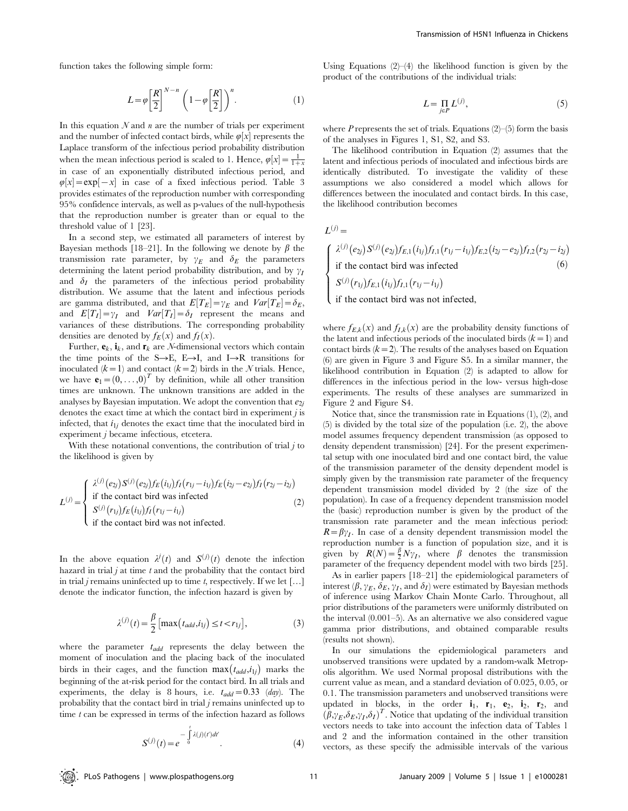function takes the following simple form:

$$
L = \varphi \left[\frac{R}{2}\right]^{N-n} \left(1 - \varphi \left[\frac{R}{2}\right]\right)^n.
$$
 (1)

In this equation  $N$  and  $n$  are the number of trials per experiment and the number of infected contact birds, while  $\varphi[x]$  represents the Laplace transform of the infectious period probability distribution when the mean infectious period is scaled to 1. Hence,  $\varphi[x] = \frac{1}{1+x}$ in case of an exponentially distributed infectious period, and  $\varphi[x] = \exp[-x]$  in case of a fixed infectious period. Table 3 provides estimates of the reproduction number with corresponding 95% confidence intervals, as well as p-values of the null-hypothesis that the reproduction number is greater than or equal to the threshold value of 1 [23].

In a second step, we estimated all parameters of interest by Bayesian methods [18–21]. In the following we denote by  $\beta$  the transmission rate parameter, by  $\gamma_E$  and  $\delta_E$  the parameters determining the latent period probability distribution, and by  $\gamma_I$ and  $\delta_I$  the parameters of the infectious period probability distribution. We assume that the latent and infectious periods are gamma distributed, and that  $E[T_E] = \gamma_E$  and  $Var[T_E] = \delta_E$ , and  $E[T_I] = \gamma_I$  and  $Var[T_I] = \delta_I$  represent the means and variances of these distributions. The corresponding probability densities are denoted by  $f_E(x)$  and  $f_I(x)$ .

Further,  $\mathbf{e}_k$ ,  $\mathbf{i}_k$ , and  $\mathbf{r}_k$  are *N*-dimensional vectors which contain the time points of the  $S\rightarrow E$ ,  $E\rightarrow I$ , and  $I\rightarrow R$  transitions for inoculated  $(k=1)$  and contact  $(k=2)$  birds in the N trials. Hence, we have  $\mathbf{e}_1 = (0, \ldots, 0)^T$  by definition, while all other transition times are unknown. The unknown transitions are added in the analyses by Bayesian imputation. We adopt the convention that  $e_{2i}$ denotes the exact time at which the contact bird in experiment  $j$  is infected, that  $i_{1j}$  denotes the exact time that the inoculated bird in experiment j became infectious, etcetera.

With these notational conventions, the contribution of trial  $j$  to the likelihood is given by

$$
L^{(j)} = \begin{cases} \lambda^{(j)}(e_{2j})S^{(j)}(e_{2j})f_E(i_{1j})f_I(r_{1j} - i_{1j})f_E(i_{2j} - e_{2j})f_I(r_{2j} - i_{2j})\\ \text{if the contact bird was infected} \\ S^{(j)}(r_{1j})f_E(i_{1j})f_I(r_{1j} - i_{1j})\\ \text{if the contact bird was not infected.} \end{cases} (2)
$$

In the above equation  $\lambda^j(t)$  and  $S^{(j)}(t)$  denote the infection hazard in trial  $j$  at time  $t$  and the probability that the contact bird in trial *j* remains uninfected up to time *t*, respectively. If we let [...] denote the indicator function, the infection hazard is given by

$$
\lambda^{(j)}(t) = \frac{\beta}{2} \left[ \max(t_{add}, i_{1j}) \le t < r_{1j} \right],\tag{3}
$$

where the parameter  $t_{add}$  represents the delay between the moment of inoculation and the placing back of the inoculated birds in their cages, and the function  $\max(t_{add}, i_{1j})$  marks the beginning of the at-risk period for the contact bird. In all trials and experiments, the delay is 8 hours, i.e.  $t_{add} = 0.33$  (day). The probability that the contact bird in trial j remains uninfected up to time  $t$  can be expressed in terms of the infection hazard as follows

$$
S^{(j)}(t) = e^{-\int_0^t \lambda(j)(t')dt'}.
$$
\n(4)

Using Equations  $(2)$ – $(4)$  the likelihood function is given by the product of the contributions of the individual trials:

$$
L = \prod_{i \in P} L^{(j)},\tag{5}
$$

where  $P$  represents the set of trials. Equations (2)–(5) form the basis of the analyses in Figures 1, S1, S2, and S3.

The likelihood contribution in Equation (2) assumes that the latent and infectious periods of inoculated and infectious birds are identically distributed. To investigate the validity of these assumptions we also considered a model which allows for differences between the inoculated and contact birds. In this case, the likelihood contribution becomes

 $L^{(j)} =$ 

$$
\begin{cases}\n\lambda^{(j)}(e_{2j})S^{(j)}(e_{2j})f_{E,1}(i_{1j})f_{I,1}(r_{1j}-i_{1j})f_{E,2}(i_{2j}-e_{2j})f_{I,2}(r_{2j}-i_{2j}) \\
\text{if the contact bird was infected} \\
S^{(j)}(r_{1j})f_{E,1}(i_{1j})f_{I,1}(r_{1j}-i_{1j}) \\
\text{if the contact bird was not infected,} \n\end{cases} (6)
$$

where  $f_{E,k}(x)$  and  $f_{I,k}(x)$  are the probability density functions of the latent and infectious periods of the inoculated birds  $(k=1)$  and contact birds  $(k=2)$ . The results of the analyses based on Equation (6) are given in Figure 3 and Figure S5. In a similar manner, the likelihood contribution in Equation (2) is adapted to allow for differences in the infectious period in the low- versus high-dose experiments. The results of these analyses are summarized in Figure 2 and Figure S4.

Notice that, since the transmission rate in Equations (1), (2), and (5) is divided by the total size of the population (i.e. 2), the above model assumes frequency dependent transmission (as opposed to density dependent transmission) [24]. For the present experimental setup with one inoculated bird and one contact bird, the value of the transmission parameter of the density dependent model is simply given by the transmission rate parameter of the frequency dependent transmission model divided by 2 (the size of the population). In case of a frequency dependent transmission model the (basic) reproduction number is given by the product of the transmission rate parameter and the mean infectious period:  $R=\beta\gamma_I$ . In case of a density dependent transmission model the reproduction number is a function of population size, and it is given by  $R(N) = \frac{\beta}{2} N \gamma_I$ , where  $\beta$  denotes the transmission parameter of the frequency dependent model with two birds [25]. As in earlier papers [18–21] the epidemiological parameters of

interest  $(\beta, \gamma_F, \delta_E, \gamma_I, \text{ and } \delta_I)$  were estimated by Bayesian methods of inference using Markov Chain Monte Carlo. Throughout, all prior distributions of the parameters were uniformly distributed on the interval (0.001–5). As an alternative we also considered vague gamma prior distributions, and obtained comparable results (results not shown).

In our simulations the epidemiological parameters and unobserved transitions were updated by a random-walk Metropolis algorithm. We used Normal proposal distributions with the current value as mean, and a standard deviation of 0.025, 0.05, or 0.1. The transmission parameters and unobserved transitions were updated in blocks, in the order  $\mathbf{i}_1$ ,  $\mathbf{r}_1$ ,  $\mathbf{e}_2$ ,  $\mathbf{i}_2$ ,  $\mathbf{r}_2$ , and  $(\beta, \gamma_E, \delta_E, \gamma_I, \delta_I)^T$ . Notice that updating of the individual transition vectors needs to take into account the infection data of Tables 1 and 2 and the information contained in the other transition vectors, as these specify the admissible intervals of the various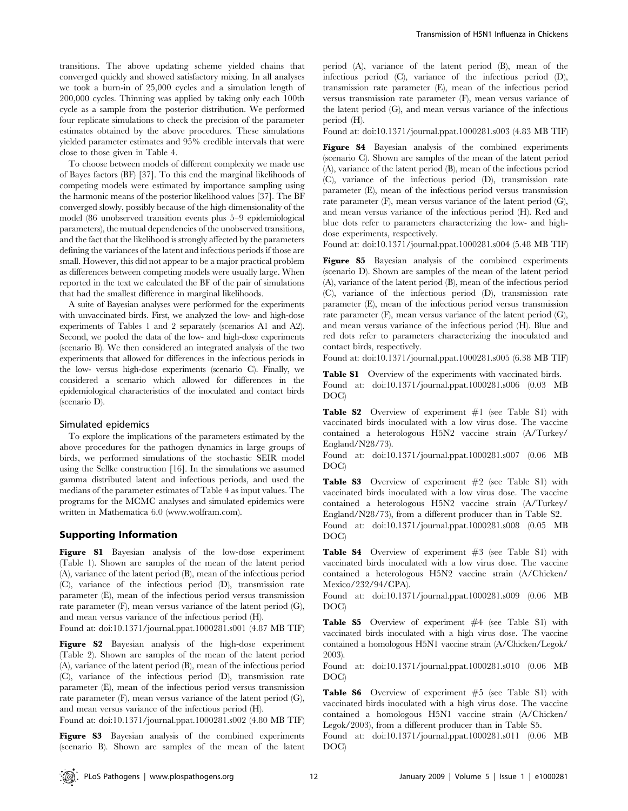transitions. The above updating scheme yielded chains that converged quickly and showed satisfactory mixing. In all analyses we took a burn-in of 25,000 cycles and a simulation length of 200,000 cycles. Thinning was applied by taking only each 100th cycle as a sample from the posterior distribution. We performed four replicate simulations to check the precision of the parameter estimates obtained by the above procedures. These simulations yielded parameter estimates and 95% credible intervals that were close to those given in Table 4.

To choose between models of different complexity we made use of Bayes factors (BF) [37]. To this end the marginal likelihoods of competing models were estimated by importance sampling using the harmonic means of the posterior likelihood values [37]. The BF converged slowly, possibly because of the high dimensionality of the model (86 unobserved transition events plus 5–9 epidemiological parameters), the mutual dependencies of the unobserved transitions, and the fact that the likelihood is strongly affected by the parameters defining the variances of the latent and infectious periods if those are small. However, this did not appear to be a major practical problem as differences between competing models were usually large. When reported in the text we calculated the BF of the pair of simulations that had the smallest difference in marginal likelihoods.

A suite of Bayesian analyses were performed for the experiments with unvaccinated birds. First, we analyzed the low- and high-dose experiments of Tables 1 and 2 separately (scenarios A1 and A2). Second, we pooled the data of the low- and high-dose experiments (scenario B). We then considered an integrated analysis of the two experiments that allowed for differences in the infectious periods in the low- versus high-dose experiments (scenario C). Finally, we considered a scenario which allowed for differences in the epidemiological characteristics of the inoculated and contact birds (scenario D).

#### Simulated epidemics

To explore the implications of the parameters estimated by the above procedures for the pathogen dynamics in large groups of birds, we performed simulations of the stochastic SEIR model using the Sellke construction [16]. In the simulations we assumed gamma distributed latent and infectious periods, and used the medians of the parameter estimates of Table 4 as input values. The programs for the MCMC analyses and simulated epidemics were written in Mathematica 6.0 (www.wolfram.com).

#### Supporting Information

Figure S1 Bayesian analysis of the low-dose experiment (Table 1). Shown are samples of the mean of the latent period (A), variance of the latent period (B), mean of the infectious period (C), variance of the infectious period (D), transmission rate parameter (E), mean of the infectious period versus transmission rate parameter  $(F)$ , mean versus variance of the latent period  $(G)$ , and mean versus variance of the infectious period (H).

Found at: doi:10.1371/journal.ppat.1000281.s001 (4.87 MB TIF)

Figure S2 Bayesian analysis of the high-dose experiment (Table 2). Shown are samples of the mean of the latent period (A), variance of the latent period (B), mean of the infectious period (C), variance of the infectious period (D), transmission rate parameter (E), mean of the infectious period versus transmission rate parameter (F), mean versus variance of the latent period (G), and mean versus variance of the infectious period (H).

Found at: doi:10.1371/journal.ppat.1000281.s002 (4.80 MB TIF)

Figure S3 Bayesian analysis of the combined experiments (scenario B). Shown are samples of the mean of the latent period (A), variance of the latent period (B), mean of the infectious period (C), variance of the infectious period (D), transmission rate parameter (E), mean of the infectious period versus transmission rate parameter (F), mean versus variance of the latent period (G), and mean versus variance of the infectious period (H).

Found at: doi:10.1371/journal.ppat.1000281.s003 (4.83 MB TIF)

Figure S4 Bayesian analysis of the combined experiments (scenario C). Shown are samples of the mean of the latent period (A), variance of the latent period (B), mean of the infectious period (C), variance of the infectious period (D), transmission rate parameter (E), mean of the infectious period versus transmission rate parameter (F), mean versus variance of the latent period (G), and mean versus variance of the infectious period (H). Red and blue dots refer to parameters characterizing the low- and highdose experiments, respectively.

Found at: doi:10.1371/journal.ppat.1000281.s004 (5.48 MB TIF)

Figure S5 Bayesian analysis of the combined experiments (scenario D). Shown are samples of the mean of the latent period (A), variance of the latent period (B), mean of the infectious period (C), variance of the infectious period (D), transmission rate parameter (E), mean of the infectious period versus transmission rate parameter  $(F)$ , mean versus variance of the latent period  $(G)$ , and mean versus variance of the infectious period (H). Blue and red dots refer to parameters characterizing the inoculated and contact birds, respectively.

Found at: doi:10.1371/journal.ppat.1000281.s005 (6.38 MB TIF)

Table S1 Overview of the experiments with vaccinated birds. Found at: doi:10.1371/journal.ppat.1000281.s006 (0.03 MB DOC)

Table S2 Overview of experiment  $#1$  (see Table S1) with vaccinated birds inoculated with a low virus dose. The vaccine contained a heterologous H5N2 vaccine strain (A/Turkey/ England/N28/73).

Found at: doi:10.1371/journal.ppat.1000281.s007 (0.06 MB DOC)

Table S3 Overview of experiment #2 (see Table S1) with vaccinated birds inoculated with a low virus dose. The vaccine contained a heterologous H5N2 vaccine strain (A/Turkey/ England/N28/73), from a different producer than in Table S2.

Found at: doi:10.1371/journal.ppat.1000281.s008 (0.05 MB DOC)

Table S4 Overview of experiment #3 (see Table S1) with vaccinated birds inoculated with a low virus dose. The vaccine contained a heterologous H5N2 vaccine strain (A/Chicken/ Mexico/232/94/CPA).

Found at: doi:10.1371/journal.ppat.1000281.s009 (0.06 MB DOC)

Table S5 Overview of experiment #4 (see Table S1) with vaccinated birds inoculated with a high virus dose. The vaccine contained a homologous H5N1 vaccine strain (A/Chicken/Legok/ 2003).

Found at: doi:10.1371/journal.ppat.1000281.s010 (0.06 MB DOC)

Table S6 Overview of experiment #5 (see Table S1) with vaccinated birds inoculated with a high virus dose. The vaccine contained a homologous H5N1 vaccine strain (A/Chicken/ Legok/2003), from a different producer than in Table S5.

Found at: doi:10.1371/journal.ppat.1000281.s011 (0.06 MB DOC)